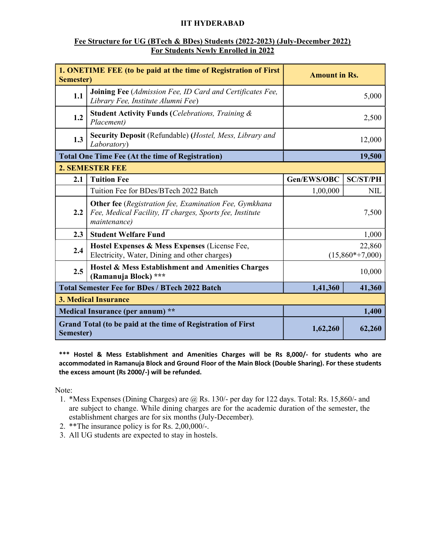# IIT HYDERABAD

### Fee Structure for UG (BTech & BDes) Students (2022-2023) (July-December 2022) For Students Newly Enrolled in 2022

| 1. ONETIME FEE (to be paid at the time of Registration of First<br>Semester) |                                                                                                                                           | <b>Amount in Rs.</b>        |                 |  |
|------------------------------------------------------------------------------|-------------------------------------------------------------------------------------------------------------------------------------------|-----------------------------|-----------------|--|
| 1.1                                                                          | Joining Fee (Admission Fee, ID Card and Certificates Fee,<br>Library Fee, Institute Alumni Fee)                                           | 5,000                       |                 |  |
| 1.2                                                                          | <b>Student Activity Funds (Celebrations, Training &amp;</b><br>Placement)                                                                 | 2,500                       |                 |  |
| 1.3                                                                          | <b>Security Deposit</b> (Refundable) ( <i>Hostel, Mess, Library and</i><br><i>Laboratory</i> )                                            | 12,000                      |                 |  |
| <b>Total One Time Fee (At the time of Registration)</b>                      |                                                                                                                                           | 19,500                      |                 |  |
|                                                                              | <b>2. SEMESTER FEE</b>                                                                                                                    |                             |                 |  |
| 2.1                                                                          | <b>Tuition Fee</b>                                                                                                                        | Gen/EWS/OBC                 | <b>SC/ST/PH</b> |  |
|                                                                              | Tuition Fee for BDes/BTech 2022 Batch                                                                                                     | 1,00,000                    | <b>NIL</b>      |  |
| 2.2                                                                          | <b>Other fee</b> (Registration fee, Examination Fee, Gymkhana<br>Fee, Medical Facility, IT charges, Sports fee, Institute<br>maintenance) | 7,500                       |                 |  |
| 2.3                                                                          | <b>Student Welfare Fund</b>                                                                                                               | 1,000                       |                 |  |
| 2.4                                                                          | Hostel Expenses & Mess Expenses (License Fee,<br>Electricity, Water, Dining and other charges)                                            | 22,860<br>$(15,860*+7,000)$ |                 |  |
| 2.5                                                                          | Hostel & Mess Establishment and Amenities Charges<br>(Ramanuja Block) ***                                                                 | 10,000                      |                 |  |
| <b>Total Semester Fee for BDes / BTech 2022 Batch</b>                        |                                                                                                                                           | 1,41,360                    | 41,360          |  |
| <b>3. Medical Insurance</b>                                                  |                                                                                                                                           |                             |                 |  |
| Medical Insurance (per annum) **                                             |                                                                                                                                           |                             | 1,400           |  |
| Grand Total (to be paid at the time of Registration of First<br>Semester)    |                                                                                                                                           | 1,62,260                    | 62,260          |  |

\*\*\* Hostel & Mess Establishment and Amenities Charges will be Rs 8,000/- for students who are accommodated in Ramanuja Block and Ground Floor of the Main Block (Double Sharing). For these students the excess amount (Rs 2000/-) will be refunded.

- 1. \*Mess Expenses (Dining Charges) are @ Rs. 130/- per day for 122 days. Total: Rs. 15,860/- and are subject to change. While dining charges are for the academic duration of the semester, the establishment charges are for six months (July-December).
- 2. \*\*The insurance policy is for Rs. 2,00,000/-.
- 3. All UG students are expected to stay in hostels.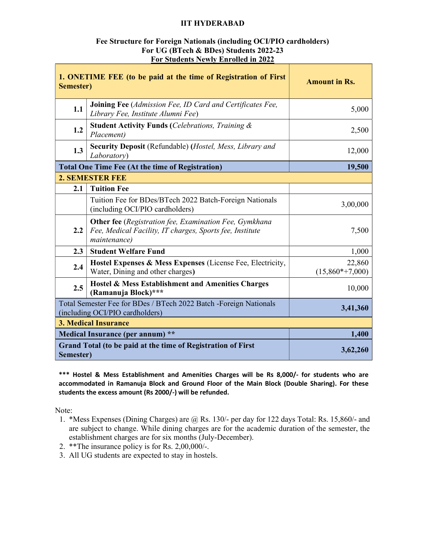# IIT HYDERABAD

### Fee Structure for Foreign Nationals (including OCI/PIO cardholders) For UG (BTech & BDes) Students 2022-23 For Students Newly Enrolled in 2022

| 1. ONETIME FEE (to be paid at the time of Registration of First<br>Semester)                         |                                                                                                                                           | <b>Amount in Rs.</b>        |  |  |
|------------------------------------------------------------------------------------------------------|-------------------------------------------------------------------------------------------------------------------------------------------|-----------------------------|--|--|
| 1.1                                                                                                  | Joining Fee (Admission Fee, ID Card and Certificates Fee,<br>Library Fee, Institute Alumni Fee)                                           | 5,000                       |  |  |
| 1.2                                                                                                  | <b>Student Activity Funds (Celebrations, Training &amp;</b><br>Placement)                                                                 | 2,500                       |  |  |
| 1.3                                                                                                  | <b>Security Deposit</b> (Refundable) ( <i>Hostel, Mess, Library and</i><br>Laboratory)                                                    | 12,000                      |  |  |
|                                                                                                      | <b>Total One Time Fee (At the time of Registration)</b>                                                                                   | 19,500                      |  |  |
| <b>2. SEMESTER FEE</b>                                                                               |                                                                                                                                           |                             |  |  |
| 2.1                                                                                                  | <b>Tuition Fee</b>                                                                                                                        |                             |  |  |
|                                                                                                      | Tuition Fee for BDes/BTech 2022 Batch-Foreign Nationals<br>(including OCI/PIO cardholders)                                                | 3,00,000                    |  |  |
| 2.2                                                                                                  | <b>Other fee</b> (Registration fee, Examination Fee, Gymkhana<br>Fee, Medical Facility, IT charges, Sports fee, Institute<br>maintenance) | 7,500                       |  |  |
| 2.3                                                                                                  | <b>Student Welfare Fund</b>                                                                                                               | 1,000                       |  |  |
| 2.4                                                                                                  | Hostel Expenses & Mess Expenses (License Fee, Electricity,<br>Water, Dining and other charges)                                            | 22,860<br>$(15,860*+7,000)$ |  |  |
| 2.5                                                                                                  | Hostel & Mess Establishment and Amenities Charges<br>(Ramanuja Block)***                                                                  | 10,000                      |  |  |
| Total Semester Fee for BDes / BTech 2022 Batch -Foreign Nationals<br>(including OCI/PIO cardholders) |                                                                                                                                           | 3,41,360                    |  |  |
| <b>3. Medical Insurance</b>                                                                          |                                                                                                                                           |                             |  |  |
| Medical Insurance (per annum) **                                                                     |                                                                                                                                           | 1,400                       |  |  |
| Semester)                                                                                            | Grand Total (to be paid at the time of Registration of First                                                                              | 3,62,260                    |  |  |

\*\*\* Hostel & Mess Establishment and Amenities Charges will be Rs 8,000/- for students who are accommodated in Ramanuja Block and Ground Floor of the Main Block (Double Sharing). For these students the excess amount (Rs 2000/-) will be refunded.

- 1. \*Mess Expenses (Dining Charges) are @ Rs. 130/- per day for 122 days Total: Rs. 15,860/- and are subject to change. While dining charges are for the academic duration of the semester, the establishment charges are for six months (July-December).
- 2. \*\*The insurance policy is for Rs. 2,00,000/-.
- 3. All UG students are expected to stay in hostels.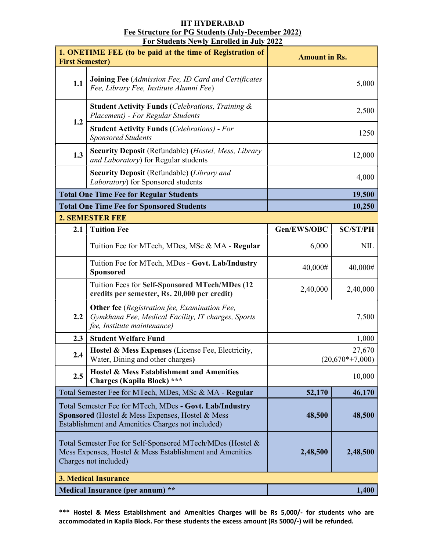#### IIT HYDERABAD Fee Structure for PG Students (July-December 2022) For Students Newly Enrolled in July 2022

| <u>гог эшисны гемту Енгоней III дигу 2022</u><br>1. ONETIME FEE (to be paid at the time of Registration of<br><b>First Semester)</b>                             |                                                                                                                                           | <b>Amount in Rs.</b>        |                 |  |
|------------------------------------------------------------------------------------------------------------------------------------------------------------------|-------------------------------------------------------------------------------------------------------------------------------------------|-----------------------------|-----------------|--|
| 1.1                                                                                                                                                              | <b>Joining Fee</b> (Admission Fee, ID Card and Certificates<br>Fee, Library Fee, Institute Alumni Fee)                                    | 5,000                       |                 |  |
| 1.2                                                                                                                                                              | <b>Student Activity Funds (Celebrations, Training &amp;</b><br>Placement) - For Regular Students                                          | 2,500                       |                 |  |
|                                                                                                                                                                  | <b>Student Activity Funds (Celebrations) - For</b><br><b>Sponsored Students</b>                                                           | 1250                        |                 |  |
| 1.3                                                                                                                                                              | Security Deposit (Refundable) (Hostel, Mess, Library<br>and Laboratory) for Regular students                                              | 12,000                      |                 |  |
|                                                                                                                                                                  | <b>Security Deposit (Refundable) (Library and</b><br>Laboratory) for Sponsored students                                                   | 4,000                       |                 |  |
|                                                                                                                                                                  | <b>Total One Time Fee for Regular Students</b><br>19,500                                                                                  |                             |                 |  |
|                                                                                                                                                                  | <b>Total One Time Fee for Sponsored Students</b>                                                                                          |                             | 10,250          |  |
|                                                                                                                                                                  | <b>2. SEMESTER FEE</b>                                                                                                                    |                             |                 |  |
| 2.1                                                                                                                                                              | <b>Tuition Fee</b>                                                                                                                        | Gen/EWS/OBC                 | <b>SC/ST/PH</b> |  |
|                                                                                                                                                                  | Tuition Fee for MTech, MDes, MSc & MA - Regular                                                                                           | 6,000                       | <b>NIL</b>      |  |
|                                                                                                                                                                  | Tuition Fee for MTech, MDes - Govt. Lab/Industry<br>Sponsored                                                                             | 40,000#                     | 40,000#         |  |
|                                                                                                                                                                  | Tuition Fees for Self-Sponsored MTech/MDes (12<br>credits per semester, Rs. 20,000 per credit)                                            | 2,40,000                    | 2,40,000        |  |
| 2.2                                                                                                                                                              | <b>Other fee</b> (Registration fee, Examination Fee,<br>Gymkhana Fee, Medical Facility, IT charges, Sports<br>fee, Institute maintenance) | 7,500                       |                 |  |
| 2.3                                                                                                                                                              | <b>Student Welfare Fund</b>                                                                                                               | 1,000                       |                 |  |
| 2.4                                                                                                                                                              | Hostel & Mess Expenses (License Fee, Electricity,<br>Water, Dining and other charges)                                                     | 27,670<br>$(20,670*+7,000)$ |                 |  |
| 2.5                                                                                                                                                              | Hostel & Mess Establishment and Amenities<br>Charges (Kapila Block) ***                                                                   | 10,000                      |                 |  |
|                                                                                                                                                                  | Total Semester Fee for MTech, MDes, MSc & MA - Regular                                                                                    | 52,170                      | 46,170          |  |
| Total Semester Fee for MTech, MDes - Govt. Lab/Industry<br>Sponsored (Hostel & Mess Expenses, Hostel & Mess<br>Establishment and Amenities Charges not included) |                                                                                                                                           | 48,500                      | 48,500          |  |
| Total Semester Fee for Self-Sponsored MTech/MDes (Hostel &<br>Mess Expenses, Hostel & Mess Establishment and Amenities<br>Charges not included)                  |                                                                                                                                           | 2,48,500                    | 2,48,500        |  |
| <b>3. Medical Insurance</b>                                                                                                                                      |                                                                                                                                           |                             |                 |  |
| Medical Insurance (per annum) **                                                                                                                                 |                                                                                                                                           |                             | 1,400           |  |

\*\*\* Hostel & Mess Establishment and Amenities Charges will be Rs 5,000/- for students who are accommodated in Kapila Block. For these students the excess amount (Rs 5000/-) will be refunded.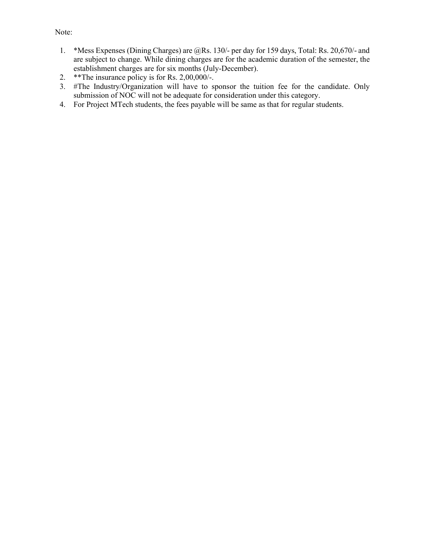- 1. \*Mess Expenses (Dining Charges) are @Rs. 130/- per day for 159 days, Total: Rs. 20,670/- and are subject to change. While dining charges are for the academic duration of the semester, the establishment charges are for six months (July-December).
- 2. \*\*The insurance policy is for Rs. 2,00,000/-.
- 3. #The Industry/Organization will have to sponsor the tuition fee for the candidate. Only submission of NOC will not be adequate for consideration under this category.
- 4. For Project MTech students, the fees payable will be same as that for regular students.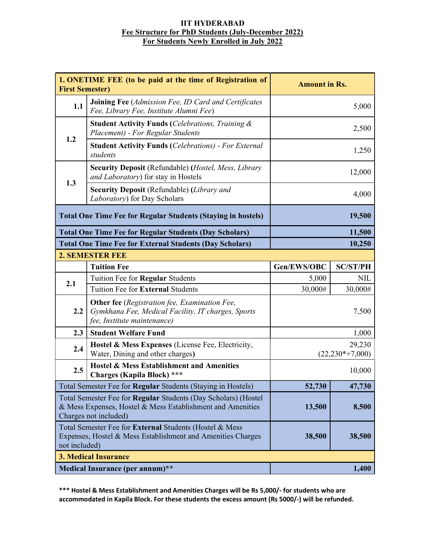# IIT HYDERABAD Fee Structure for PhD Students (July-December 2022) For Students Newly Enrolled in July 2022

| 1. ONETIME FEE (to be paid at the time of Registration of<br><b>First Semester)</b>                                                                   |                                                                                                                                           | <b>Amount in Rs.</b>          |                 |  |
|-------------------------------------------------------------------------------------------------------------------------------------------------------|-------------------------------------------------------------------------------------------------------------------------------------------|-------------------------------|-----------------|--|
| 1.1                                                                                                                                                   | <b>Joining Fee</b> (Admission Fee, ID Card and Certificates<br>Fee, Library Fee, Institute Alumni Fee)                                    | 5,000                         |                 |  |
| 1.2                                                                                                                                                   | <b>Student Activity Funds (Celebrations, Training &amp;</b><br>Placement) - For Regular Students                                          | 2,500                         |                 |  |
|                                                                                                                                                       | <b>Student Activity Funds (Celebrations) - For External</b><br>students                                                                   | 1,250                         |                 |  |
| 1.3                                                                                                                                                   | <b>Security Deposit (Refundable) (Hostel, Mess, Library</b><br>and Laboratory) for stay in Hostels                                        | 12,000                        |                 |  |
|                                                                                                                                                       | Security Deposit (Refundable) (Library and<br>Laboratory) for Day Scholars                                                                | 4,000                         |                 |  |
| <b>Total One Time Fee for Regular Students (Staying in hostels)</b>                                                                                   |                                                                                                                                           | 19,500                        |                 |  |
|                                                                                                                                                       | <b>Total One Time Fee for Regular Students (Day Scholars)</b>                                                                             | 11,500                        |                 |  |
|                                                                                                                                                       | <b>Total One Time Fee for External Students (Day Scholars)</b>                                                                            |                               | 10,250          |  |
|                                                                                                                                                       | <b>2. SEMESTER FEE</b>                                                                                                                    |                               |                 |  |
|                                                                                                                                                       | <b>Tuition Fee</b>                                                                                                                        | Gen/EWS/OBC                   | <b>SC/ST/PH</b> |  |
| 2.1                                                                                                                                                   | Tuition Fee for Regular Students                                                                                                          | 5,000                         | <b>NIL</b>      |  |
|                                                                                                                                                       | Tuition Fee for External Students                                                                                                         | 30,000#                       | 30,000#         |  |
| 2.2                                                                                                                                                   | <b>Other fee</b> (Registration fee, Examination Fee,<br>Gymkhana Fee, Medical Facility, IT charges, Sports<br>fee, Institute maintenance) | 7,500                         |                 |  |
| 2.3                                                                                                                                                   | <b>Student Welfare Fund</b>                                                                                                               | 1,000                         |                 |  |
| 2.4                                                                                                                                                   | Hostel & Mess Expenses (License Fee, Electricity,<br>Water, Dining and other charges)                                                     | 29,230<br>$(22, 230*+7, 000)$ |                 |  |
| 2.5                                                                                                                                                   | Hostel & Mess Establishment and Amenities<br><b>Charges (Kapila Block)</b> ***                                                            | 10,000                        |                 |  |
| Total Semester Fee for <b>Regular</b> Students (Staying in Hostels)                                                                                   |                                                                                                                                           | 52,730                        | 47,730          |  |
| Total Semester Fee for Regular Students (Day Scholars) (Hostel<br>& Mess Expenses, Hostel & Mess Establishment and Amenities<br>Charges not included) |                                                                                                                                           | 13,500                        | 8,500           |  |
| Total Semester Fee for External Students (Hostel & Mess<br>Expenses, Hostel & Mess Establishment and Amenities Charges<br>not included)               |                                                                                                                                           | 38,500                        | 38,500          |  |
| <b>3. Medical Insurance</b>                                                                                                                           |                                                                                                                                           |                               |                 |  |
| Medical Insurance (per annum)**                                                                                                                       |                                                                                                                                           |                               | 1,400           |  |

\*\*\* Hostel & Mess Establishment and Amenities Charges will be Rs 5,000/- for students who are accommodated in Kapila Block. For these students the excess amount (Rs 5000/-) will be refunded.